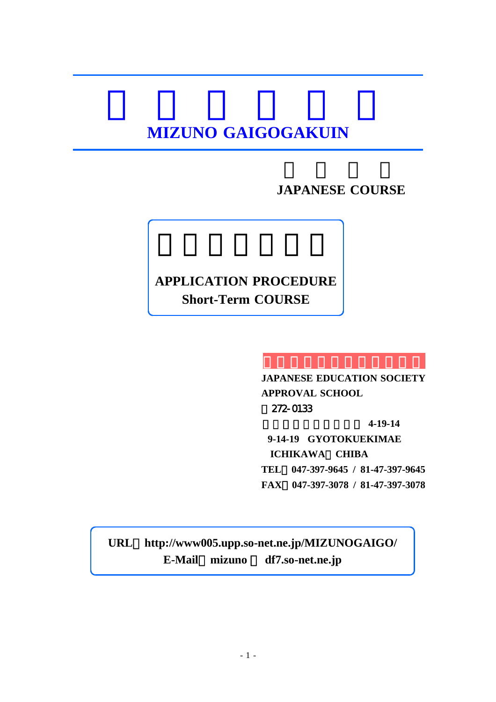# **MIZUNO GAIGOGAKUIN**

#### **JAPANESE COURSE**

#### **APPLICATION PROCEDURE Short-Term COURSE**

**JAPANESE EDUCATION SOCIETY APPROVAL SCHOOL** 〒272-0133 千葉県市川市行徳駅前 **4-19-14 9-14-19 GYOTOKUEKIMAE ICHIKAWA**、**CHIBA TEL**:**047-397-9645 / 81-47-397-9645 FAX**:**047-397-3078 / 81-47-397-3078**

**URL**:**http://www005.upp.so-net.ne.jp/MIZUNOGAIGO/ E-Mail**:**mizuno** @ **df7.so-net.ne.jp**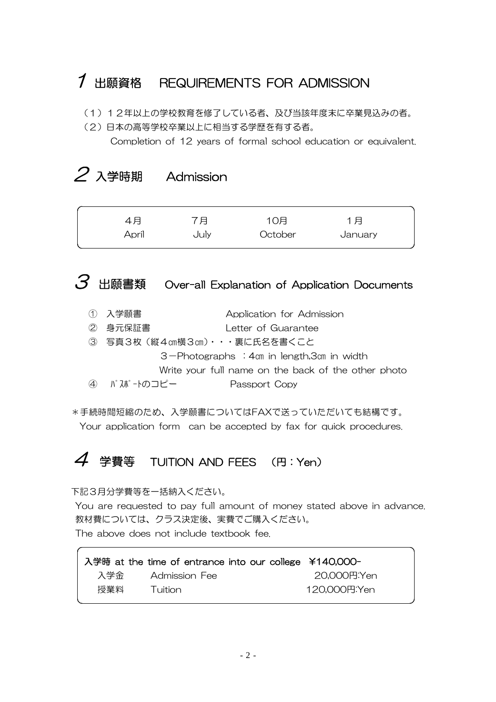### 1 出願資格 REQUIREMENTS FOR ADMISSION

- (1)12年以上の学校教育を修了している者、及び当該年度末に卒業見込みの者。
- (2)日本の高等学校卒業以上に相当する学歴を有する者。

Completion of 12 years of formal school education or equivalent.

# $2 \lambda$ 学時期 Admission

| 4月    | 7月   | 10月     | 1月      |  |
|-------|------|---------|---------|--|
| April | July | October | January |  |

# $3$  出願書類 Over-all Explanation of Application Documents

- ① 入学願書 Application for Admission
- ② 身元保証書 Letter of Guarantee
- ③ 写真3枚(縦4㎝横3㎝)・・・裏に氏名を書くこと 3-Photographs :4㎝ in length,3㎝ in width Write your full name on the back of the other photo
- ④ パスポートのコピー Passport Copy

\*手続時間短縮のため、入学願書についてはFAXで送っていただいても結構です。

Your application form can be accepted by fax for quick procedures.

### $4$  学費等 TUITION AND FEES (円:Yen)

下記3月分学費等を一括納入ください。

You are requested to pay full amount of money stated above in advance. 教材費については、クラス決定後、実費でご購入ください。 The above does not include textbook fee.

|     | 入学時 at the time of entrance into our college ¥140,000- |              |
|-----|--------------------------------------------------------|--------------|
| 入学金 | Admission Fee                                          | 20,000円:Yen  |
| 授業料 | – Tuition                                              | 120,000円:Yen |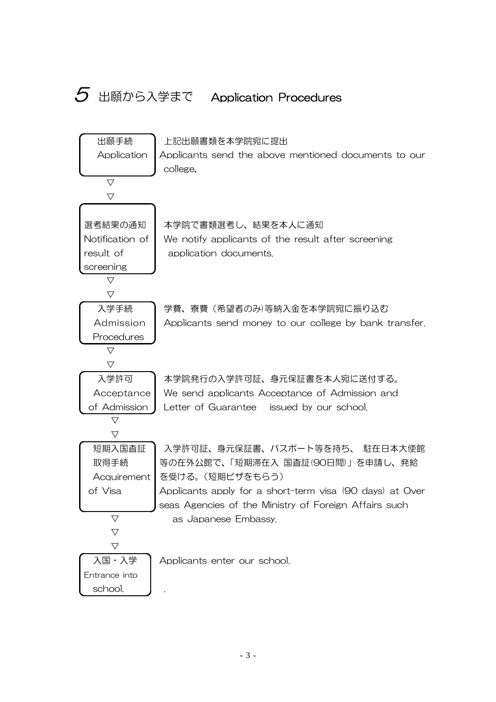